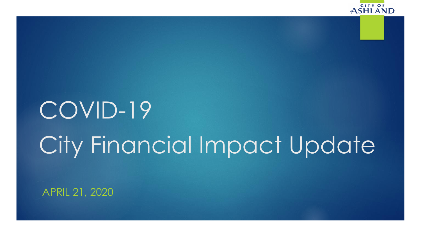

# COVID-19 City Financial Impact Update

APRIL 21, 2020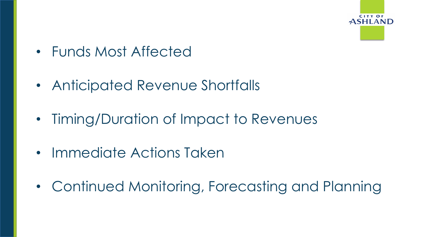

- Funds Most Affected
- Anticipated Revenue Shortfalls
- Timing/Duration of Impact to Revenues
- Immediate Actions Taken
- Continued Monitoring, Forecasting and Planning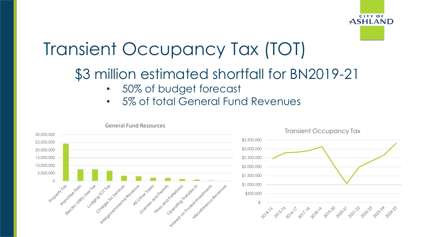

### Transient Occupancy Tax (TOT)

#### \$3 million estimated shortfall for BN2019-21

- 50% of budget forecast
- 5% of total General Fund Revenues

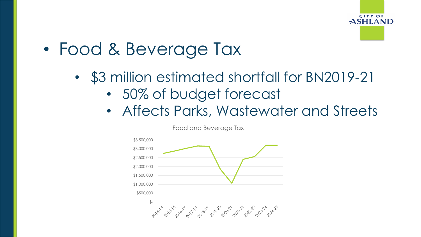

- Food & Beverage Tax
	- \$3 million estimated shortfall for BN2019-21
		- 50% of budget forecast
		- Affects Parks, Wastewater and Streets



Food and Beverage Tax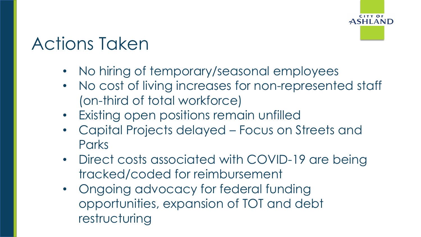

## Actions Taken

- No hiring of temporary/seasonal employees
- No cost of living increases for non-represented staff (on-third of total workforce)
- Existing open positions remain unfilled
- Capital Projects delayed Focus on Streets and **Parks**
- Direct costs associated with COVID-19 are being tracked/coded for reimbursement
- Ongoing advocacy for federal funding opportunities, expansion of TOT and debt restructuring